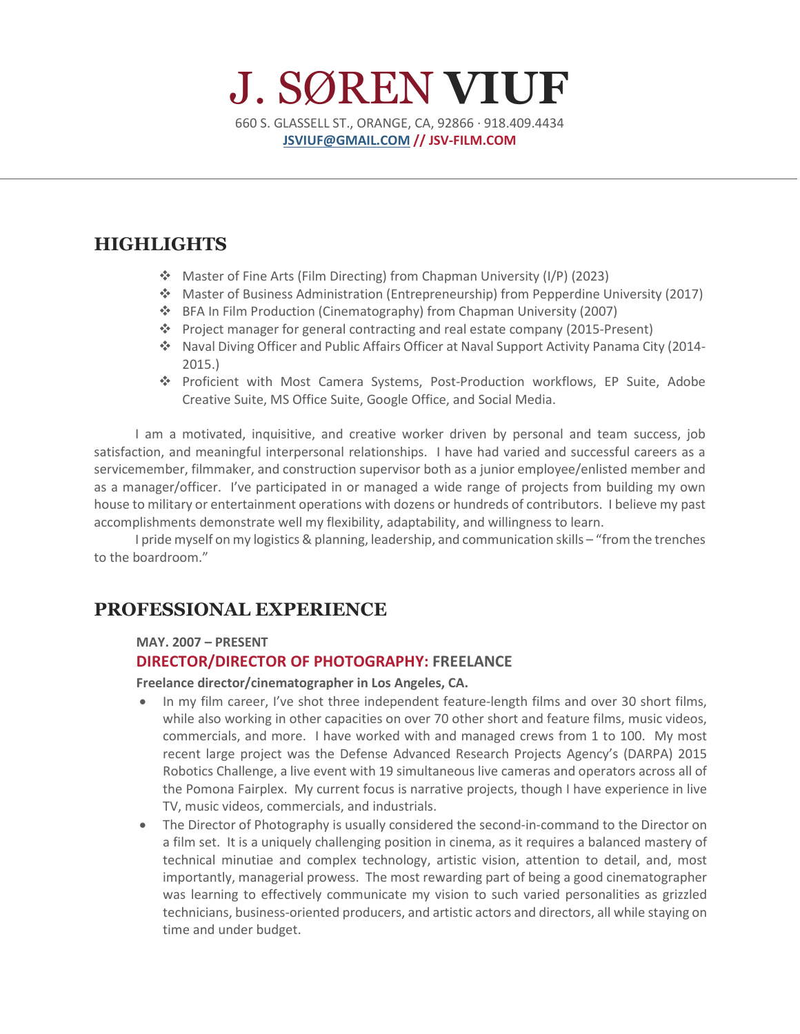# J. SØREN **VIUF** 660 S. GLASSELL ST., ORANGE, CA, 92866 · 918.409.4434 **[JSVIUF@GMAIL.COM](mailto:JSVIUF@GMAIL.COM) // JSV-FILM.COM**

## **HIGHLIGHTS**

- Master of Fine Arts (Film Directing) from Chapman University (I/P) (2023)
- Master of Business Administration (Entrepreneurship) from Pepperdine University (2017)
- BFA In Film Production (Cinematography) from Chapman University (2007)
- Project manager for general contracting and real estate company (2015-Present)
- Naval Diving Officer and Public Affairs Officer at Naval Support Activity Panama City (2014- 2015.)
- Proficient with Most Camera Systems, Post-Production workflows, EP Suite, Adobe Creative Suite, MS Office Suite, Google Office, and Social Media.

I am a motivated, inquisitive, and creative worker driven by personal and team success, job satisfaction, and meaningful interpersonal relationships. I have had varied and successful careers as a servicemember, filmmaker, and construction supervisor both as a junior employee/enlisted member and as a manager/officer. I've participated in or managed a wide range of projects from building my own house to military or entertainment operations with dozens or hundreds of contributors. I believe my past accomplishments demonstrate well my flexibility, adaptability, and willingness to learn.

I pride myself on my logistics & planning, leadership, and communication skills – "from the trenches to the boardroom."

## **PROFESSIONAL EXPERIENCE**

#### **MAY. 2007 – PRESENT**

#### **DIRECTOR/DIRECTOR OF PHOTOGRAPHY: FREELANCE**

**Freelance director/cinematographer in Los Angeles, CA.** 

- In my film career, I've shot three independent feature-length films and over 30 short films, while also working in other capacities on over 70 other short and feature films, music videos, commercials, and more. I have worked with and managed crews from 1 to 100. My most recent large project was the Defense Advanced Research Projects Agency's (DARPA) 2015 Robotics Challenge, a live event with 19 simultaneous live cameras and operators across all of the Pomona Fairplex. My current focus is narrative projects, though I have experience in live TV, music videos, commercials, and industrials.
- The Director of Photography is usually considered the second-in-command to the Director on a film set. It is a uniquely challenging position in cinema, as it requires a balanced mastery of technical minutiae and complex technology, artistic vision, attention to detail, and, most importantly, managerial prowess. The most rewarding part of being a good cinematographer was learning to effectively communicate my vision to such varied personalities as grizzled technicians, business-oriented producers, and artistic actors and directors, all while staying on time and under budget.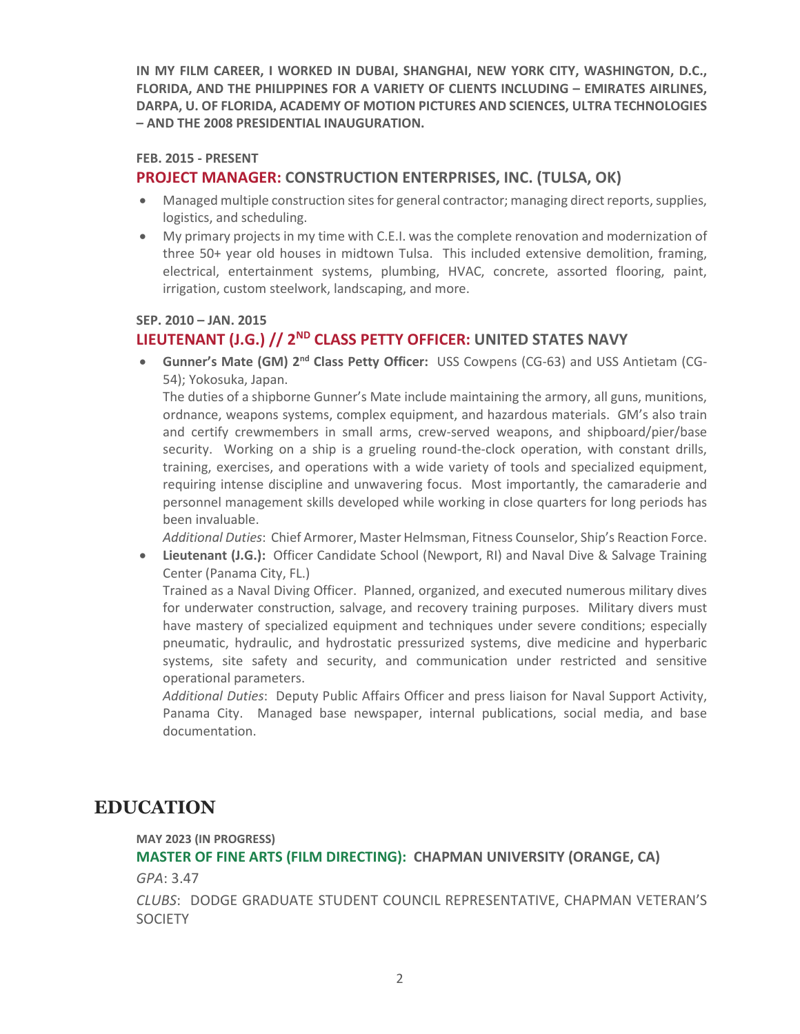**IN MY FILM CAREER, I WORKED IN DUBAI, SHANGHAI, NEW YORK CITY, WASHINGTON, D.C., FLORIDA, AND THE PHILIPPINES FOR A VARIETY OF CLIENTS INCLUDING – EMIRATES AIRLINES, DARPA, U. OF FLORIDA, ACADEMY OF MOTION PICTURES AND SCIENCES, ULTRA TECHNOLOGIES – AND THE 2008 PRESIDENTIAL INAUGURATION.**

#### **FEB. 2015 - PRESENT**

### **PROJECT MANAGER: CONSTRUCTION ENTERPRISES, INC. (TULSA, OK)**

- Managed multiple construction sites for general contractor; managing direct reports, supplies, logistics, and scheduling.
- My primary projects in my time with C.E.I. was the complete renovation and modernization of three 50+ year old houses in midtown Tulsa. This included extensive demolition, framing, electrical, entertainment systems, plumbing, HVAC, concrete, assorted flooring, paint, irrigation, custom steelwork, landscaping, and more.

#### **SEP. 2010 – JAN. 2015**

### **LIEUTENANT (J.G.) // 2ND CLASS PETTY OFFICER: UNITED STATES NAVY**

• **Gunner's Mate (GM) 2nd Class Petty Officer:** USS Cowpens (CG-63) and USS Antietam (CG-54); Yokosuka, Japan.

The duties of a shipborne Gunner's Mate include maintaining the armory, all guns, munitions, ordnance, weapons systems, complex equipment, and hazardous materials. GM's also train and certify crewmembers in small arms, crew-served weapons, and shipboard/pier/base security. Working on a ship is a grueling round-the-clock operation, with constant drills, training, exercises, and operations with a wide variety of tools and specialized equipment, requiring intense discipline and unwavering focus. Most importantly, the camaraderie and personnel management skills developed while working in close quarters for long periods has been invaluable.

*Additional Duties*: Chief Armorer, Master Helmsman, Fitness Counselor, Ship's Reaction Force.

• **Lieutenant (J.G.):** Officer Candidate School (Newport, RI) and Naval Dive & Salvage Training Center (Panama City, FL.)

Trained as a Naval Diving Officer. Planned, organized, and executed numerous military dives for underwater construction, salvage, and recovery training purposes. Military divers must have mastery of specialized equipment and techniques under severe conditions; especially pneumatic, hydraulic, and hydrostatic pressurized systems, dive medicine and hyperbaric systems, site safety and security, and communication under restricted and sensitive operational parameters.

*Additional Duties*: Deputy Public Affairs Officer and press liaison for Naval Support Activity, Panama City. Managed base newspaper, internal publications, social media, and base documentation.

## **EDUCATION**

**MAY 2023 (IN PROGRESS)**

**MASTER OF FINE ARTS (FILM DIRECTING): CHAPMAN UNIVERSITY (ORANGE, CA)** *GPA*: 3.47

*CLUBS*: DODGE GRADUATE STUDENT COUNCIL REPRESENTATIVE, CHAPMAN VETERAN'S **SOCIETY**